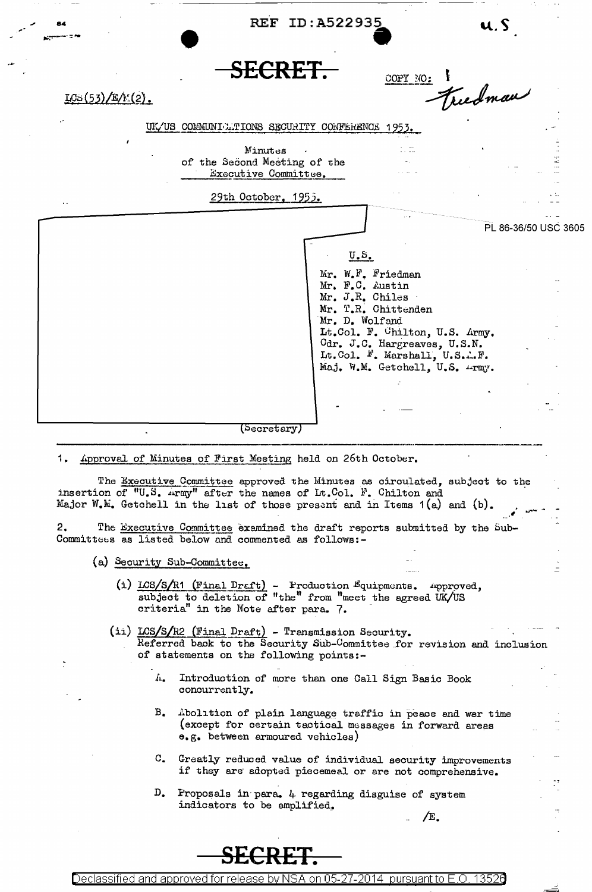|                    | <b>REF ID: A522935</b>                                                                                                                                            |                                                  | u.s                  |
|--------------------|-------------------------------------------------------------------------------------------------------------------------------------------------------------------|--------------------------------------------------|----------------------|
|                    |                                                                                                                                                                   |                                                  |                      |
|                    |                                                                                                                                                                   | COFY NO:                                         |                      |
| $LCs(53)/E/V(2)$ . |                                                                                                                                                                   |                                                  | Triedman             |
|                    | UK/US COMMUNILITIONS SECURITY CONFERENCE 1953.                                                                                                                    |                                                  |                      |
|                    | Minutes                                                                                                                                                           |                                                  |                      |
|                    | of the Second Meeting of the<br>Executive Committee.                                                                                                              |                                                  |                      |
|                    | 29th October, 1955.                                                                                                                                               |                                                  |                      |
|                    |                                                                                                                                                                   |                                                  | PL 86-36/50 USC 3605 |
|                    |                                                                                                                                                                   |                                                  |                      |
|                    |                                                                                                                                                                   | U.S.                                             |                      |
|                    |                                                                                                                                                                   | Mr. W.F. Friedman<br>Mr. F.C. Austin             |                      |
|                    |                                                                                                                                                                   | Mr. J.R. Chiles                                  |                      |
|                    |                                                                                                                                                                   | Mr. T.R. Chittenden                              |                      |
|                    |                                                                                                                                                                   | Mr. D. Wolfand<br>Lt.Col. F. Chilton, U.S. Army. |                      |
|                    |                                                                                                                                                                   | Cdr. J.C. Hargreaves, U.S.N.                     |                      |
|                    |                                                                                                                                                                   | Lt. Col. F. Marshall, U.S.  F.                   |                      |
|                    |                                                                                                                                                                   | Maj. W.M. Getchell, U.S. Army.                   |                      |
|                    |                                                                                                                                                                   |                                                  |                      |
|                    |                                                                                                                                                                   |                                                  |                      |
|                    |                                                                                                                                                                   |                                                  |                      |
|                    |                                                                                                                                                                   |                                                  |                      |
|                    | (Secretary)                                                                                                                                                       |                                                  |                      |
|                    |                                                                                                                                                                   |                                                  |                      |
|                    | 1. Approval of Minutes of First Meeting held on 26th October.                                                                                                     |                                                  |                      |
|                    | The Executive Committee approved the Minutes as circulated, subject to the                                                                                        |                                                  |                      |
|                    | insertion of "U.S. Army" after the names of Lt.Col. F. Chilton and                                                                                                |                                                  |                      |
|                    | Major W.M. Getchell in the list of those present and in Items $1(a)$ and $(b)$ .                                                                                  |                                                  |                      |
| 2.                 | The Executive Committee examined the draft reports submitted by the Sub-<br>Committees as listed below and commented as follows:-                                 |                                                  |                      |
|                    | (a) Security Sub-Committee.                                                                                                                                       |                                                  |                      |
|                    |                                                                                                                                                                   |                                                  |                      |
|                    | (i) LCS/S/R1 (Final Draft) - Production Equipments. ipproved,<br>subject to deletion of "the" from "meet the agreed UK/US<br>criteria" in the Note after para. 7. |                                                  |                      |
|                    |                                                                                                                                                                   |                                                  |                      |
|                    | (ii) LCS/S/R2 (Final Draft) - Transmission Security.                                                                                                              |                                                  |                      |
|                    | Referred back to the Security Sub-Committee for revision and inclusion<br>of statements on the following points:-                                                 |                                                  |                      |
|                    |                                                                                                                                                                   |                                                  |                      |
| $\Lambda$ .        | Introduction of more than one Call Sign Basic Book                                                                                                                |                                                  |                      |
|                    | concurrently.                                                                                                                                                     |                                                  |                      |
|                    | B.<br>Abolition of plain language traffic in peace and war time                                                                                                   |                                                  |                      |
|                    | (except for certain tactical messages in forward areas<br>e.g. between armoured vehicles)                                                                         |                                                  |                      |
|                    |                                                                                                                                                                   |                                                  |                      |
|                    | C. Greatly reduced value of individual security improvements                                                                                                      |                                                  |                      |
|                    | if they are adopted piecemeal or are not comprehensive.                                                                                                           |                                                  |                      |
|                    | D. Proposals in para. 4 regarding disguise of system                                                                                                              |                                                  |                      |
|                    | indicators to be amplified.                                                                                                                                       | Æ.                                               |                      |

Declassified and approved for release by NSA on 05-27-2014 pursuant to E.O. 13526

 $\frac{1}{2}$  $\sim$